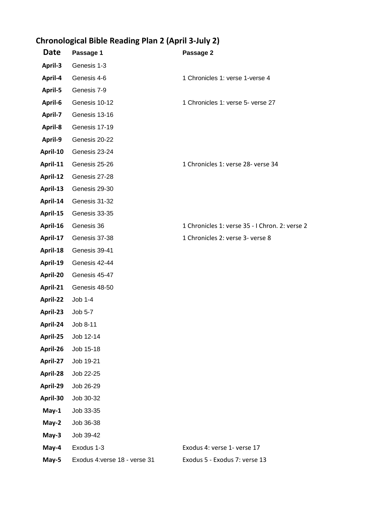## **Chronological Bible Reading Plan 2 (April 3-July 2)**

| Date     | Passage 1                     | Passage 2                                      |
|----------|-------------------------------|------------------------------------------------|
| April-3  | Genesis 1-3                   |                                                |
| April-4  | Genesis 4-6                   | 1 Chronicles 1: verse 1-verse 4                |
| April-5  | Genesis 7-9                   |                                                |
| April-6  | Genesis 10-12                 | 1 Chronicles 1: verse 5- verse 27              |
| April-7  | Genesis 13-16                 |                                                |
| April-8  | Genesis 17-19                 |                                                |
| April-9  | Genesis 20-22                 |                                                |
| April-10 | Genesis 23-24                 |                                                |
| April-11 | Genesis 25-26                 | 1 Chronicles 1: verse 28- verse 34             |
| April-12 | Genesis 27-28                 |                                                |
| April-13 | Genesis 29-30                 |                                                |
| April-14 | Genesis 31-32                 |                                                |
| April-15 | Genesis 33-35                 |                                                |
| April-16 | Genesis 36                    | 1 Chronicles 1: verse 35 - I Chron. 2: verse 2 |
| April-17 | Genesis 37-38                 | 1 Chronicles 2: verse 3- verse 8               |
| April-18 | Genesis 39-41                 |                                                |
| April-19 | Genesis 42-44                 |                                                |
| April-20 | Genesis 45-47                 |                                                |
| April-21 | Genesis 48-50                 |                                                |
| April-22 | Job 1-4                       |                                                |
| April-23 | Job 5-7                       |                                                |
| April-24 | Job 8-11                      |                                                |
| April-25 | Job 12-14                     |                                                |
| April-26 | Job 15-18                     |                                                |
| April-27 | Job 19-21                     |                                                |
| April-28 | Job 22-25                     |                                                |
| April-29 | Job 26-29                     |                                                |
| April-30 | Job 30-32                     |                                                |
| May-1    | Job 33-35                     |                                                |
| May-2    | Job 36-38                     |                                                |
| May-3    | Job 39-42                     |                                                |
| May-4    | Exodus 1-3                    | Exodus 4: verse 1- verse 17                    |
| May-5    | Exodus 4: verse 18 - verse 31 | Exodus 5 - Exodus 7: verse 13                  |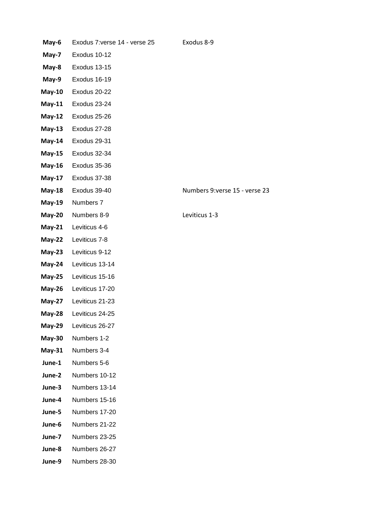| May-6         | Exodus 7: verse 14 - verse 25 | Exodus 8-9                     |
|---------------|-------------------------------|--------------------------------|
| May-7         | Exodus 10-12                  |                                |
| May-8         | Exodus 13-15                  |                                |
| May-9         | Exodus 16-19                  |                                |
| $May-10$      | Exodus 20-22                  |                                |
| $May-11$      | Exodus 23-24                  |                                |
| $May-12$      | Exodus 25-26                  |                                |
| $May-13$      | Exodus 27-28                  |                                |
| $May-14$      | Exodus 29-31                  |                                |
| $May-15$      | Exodus 32-34                  |                                |
| <b>May-16</b> | Exodus 35-36                  |                                |
| <b>May-17</b> | Exodus 37-38                  |                                |
| $May-18$      | Exodus 39-40                  | Numbers 9: verse 15 - verse 23 |
| $May-19$      | Numbers 7                     |                                |
| $May-20$      | Numbers 8-9                   | Leviticus 1-3                  |
| $May-21$      | Leviticus 4-6                 |                                |
| $May-22$      | Leviticus 7-8                 |                                |
| $May-23$      | Leviticus 9-12                |                                |
| $May-24$      | Leviticus 13-14               |                                |
| $May-25$      | Leviticus 15-16               |                                |
| $May-26$      | Leviticus 17-20               |                                |
| <b>May-27</b> | Leviticus 21-23               |                                |
| $May-28$      | Leviticus 24-25               |                                |
|               | May-29 Leviticus 26-27        |                                |
| $May-30$      | Numbers 1-2                   |                                |
| $May-31$      | Numbers 3-4                   |                                |
| June-1        | Numbers 5-6                   |                                |
| June-2        | Numbers 10-12                 |                                |
| June-3        | Numbers 13-14                 |                                |
| June-4        | Numbers 15-16                 |                                |
| June-5        | Numbers 17-20                 |                                |
| June-6        | Numbers 21-22                 |                                |
| June-7        | Numbers 23-25                 |                                |
| June-8        | Numbers 26-27                 |                                |
| June-9        | Numbers 28-30                 |                                |